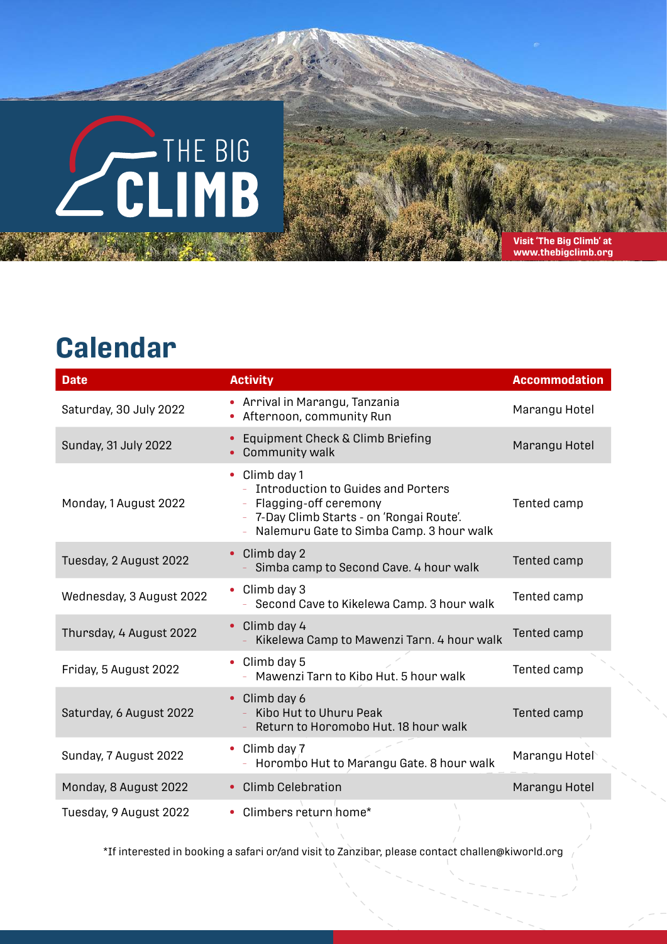## **CLIMB**

**Visit 'The Big Climb' at www.thebigclimb.org**

## **Calendar**

| <b>Date</b>              | <b>Activity</b>                                                                                                                                                                       | <b>Accommodation</b> |
|--------------------------|---------------------------------------------------------------------------------------------------------------------------------------------------------------------------------------|----------------------|
| Saturday, 30 July 2022   | Arrival in Marangu, Tanzania<br>Afternoon, community Run                                                                                                                              | Marangu Hotel        |
| Sunday, 31 July 2022     | Equipment Check & Climb Briefing<br>$\bullet$<br>Community walk<br>$\bullet$                                                                                                          | Marangu Hotel        |
| Monday, 1 August 2022    | Climb day 1<br>$\bullet$<br><b>Introduction to Guides and Porters</b><br>Flagging-off ceremony<br>7-Day Climb Starts - on 'Rongai Route'.<br>Nalemuru Gate to Simba Camp. 3 hour walk | Tented camp          |
| Tuesday, 2 August 2022   | Climb day 2<br>$\bullet$<br>Simba camp to Second Cave. 4 hour walk                                                                                                                    | Tented camp          |
| Wednesday, 3 August 2022 | Climb day 3<br>$\bullet$<br>Second Cave to Kikelewa Camp. 3 hour walk                                                                                                                 | Tented camp          |
| Thursday, 4 August 2022  | Climb day 4<br>$\bullet$<br>Kikelewa Camp to Mawenzi Tarn. 4 hour walk                                                                                                                | Tented camp          |
| Friday, 5 August 2022    | Climb day 5<br>$\bullet$<br>Mawenzi Tarn to Kibo Hut. 5 hour walk                                                                                                                     | Tented camp          |
| Saturday, 6 August 2022  | Climb day 6<br>$\bullet$<br>Kibo Hut to Uhuru Peak<br>Return to Horomobo Hut. 18 hour walk                                                                                            | Tented camp          |
| Sunday, 7 August 2022    | Climb day 7<br>$\bullet$<br>Horombo Hut to Marangu Gate. 8 hour walk                                                                                                                  | Marangu Hotel        |
| Monday, 8 August 2022    | <b>Climb Celebration</b><br>$\bullet$                                                                                                                                                 | Marangu Hotel        |
| Tuesday, 9 August 2022   | • Climbers return home*                                                                                                                                                               |                      |

\*If interested in booking a safari or/and visit to Zanzibar, please contact challen@kiworld.org